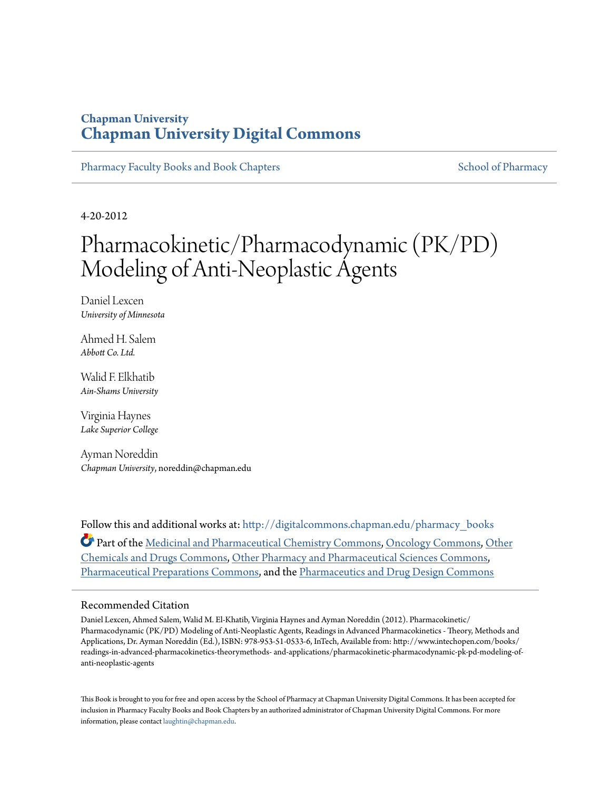# **Chapman University [Chapman University Digital Commons](http://digitalcommons.chapman.edu?utm_source=digitalcommons.chapman.edu%2Fpharmacy_books%2F8&utm_medium=PDF&utm_campaign=PDFCoverPages)**

[Pharmacy Faculty Books and Book Chapters](http://digitalcommons.chapman.edu/pharmacy_books?utm_source=digitalcommons.chapman.edu%2Fpharmacy_books%2F8&utm_medium=PDF&utm_campaign=PDFCoverPages) [School of Pharmacy](http://digitalcommons.chapman.edu/cusp?utm_source=digitalcommons.chapman.edu%2Fpharmacy_books%2F8&utm_medium=PDF&utm_campaign=PDFCoverPages) School of Pharmacy

4-20-2012

# Pharmacokinetic/Pharmacodynamic (PK/PD) Modeling of Anti-Neoplastic Agents

Daniel Lexcen *University of Minnesota*

Ahmed H. Salem *Abbott Co. Ltd.*

Walid F. Elkhatib *Ain-Shams University*

Virginia Haynes *Lake Superior College*

Ayman Noreddin *Chapman University*, noreddin@chapman.edu

Follow this and additional works at: [http://digitalcommons.chapman.edu/pharmacy\\_books](http://digitalcommons.chapman.edu/pharmacy_books?utm_source=digitalcommons.chapman.edu%2Fpharmacy_books%2F8&utm_medium=PDF&utm_campaign=PDFCoverPages) Part of the [Medicinal and Pharmaceutical Chemistry Commons](http://network.bepress.com/hgg/discipline/734?utm_source=digitalcommons.chapman.edu%2Fpharmacy_books%2F8&utm_medium=PDF&utm_campaign=PDFCoverPages), [Oncology Commons,](http://network.bepress.com/hgg/discipline/694?utm_source=digitalcommons.chapman.edu%2Fpharmacy_books%2F8&utm_medium=PDF&utm_campaign=PDFCoverPages) [Other](http://network.bepress.com/hgg/discipline/951?utm_source=digitalcommons.chapman.edu%2Fpharmacy_books%2F8&utm_medium=PDF&utm_campaign=PDFCoverPages) [Chemicals and Drugs Commons,](http://network.bepress.com/hgg/discipline/951?utm_source=digitalcommons.chapman.edu%2Fpharmacy_books%2F8&utm_medium=PDF&utm_campaign=PDFCoverPages) [Other Pharmacy and Pharmaceutical Sciences Commons,](http://network.bepress.com/hgg/discipline/737?utm_source=digitalcommons.chapman.edu%2Fpharmacy_books%2F8&utm_medium=PDF&utm_campaign=PDFCoverPages) [Pharmaceutical Preparations Commons](http://network.bepress.com/hgg/discipline/936?utm_source=digitalcommons.chapman.edu%2Fpharmacy_books%2F8&utm_medium=PDF&utm_campaign=PDFCoverPages), and the [Pharmaceutics and Drug Design Commons](http://network.bepress.com/hgg/discipline/733?utm_source=digitalcommons.chapman.edu%2Fpharmacy_books%2F8&utm_medium=PDF&utm_campaign=PDFCoverPages)

## Recommended Citation

Daniel Lexcen, Ahmed Salem, Walid M. El-Khatib, Virginia Haynes and Ayman Noreddin (2012). Pharmacokinetic/ Pharmacodynamic (PK/PD) Modeling of Anti-Neoplastic Agents, Readings in Advanced Pharmacokinetics - Theory, Methods and Applications, Dr. Ayman Noreddin (Ed.), ISBN: 978-953-51-0533-6, InTech, Available from: http://www.intechopen.com/books/ readings-in-advanced-pharmacokinetics-theorymethods- and-applications/pharmacokinetic-pharmacodynamic-pk-pd-modeling-ofanti-neoplastic-agents

This Book is brought to you for free and open access by the School of Pharmacy at Chapman University Digital Commons. It has been accepted for inclusion in Pharmacy Faculty Books and Book Chapters by an authorized administrator of Chapman University Digital Commons. For more information, please contact [laughtin@chapman.edu](mailto:laughtin@chapman.edu).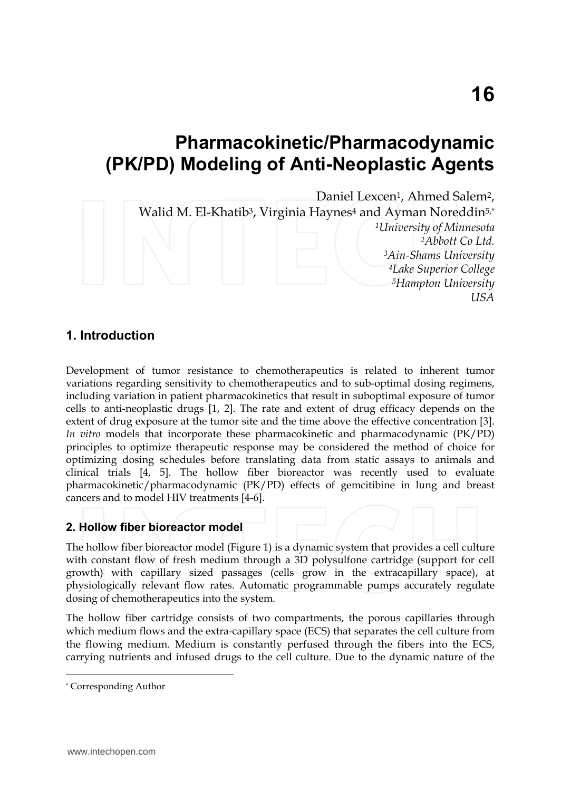# **Pharmacokinetic/Pharmacodynamic (PK/PD) Modeling of Anti-Neoplastic Agents**

Daniel Lexcen<sup>1</sup>, Ahmed Salem<sup>2</sup>,

Walid M. El-Khatib<sup>3</sup>, Virginia Haynes<sup>4</sup> and Ayman Noreddin<sup>5,\*</sup> *<sup>1</sup>University of Minnesota* 

*Abbott Co Ltd. Ain-Shams University Lake Superior College Hampton University USA*

# **1. Introduction**

Development of tumor resistance to chemotherapeutics is related to inherent tumor variations regarding sensitivity to chemotherapeutics and to sub-optimal dosing regimens, including variation in patient pharmacokinetics that result in suboptimal exposure of tumor cells to anti-neoplastic drugs [1, 2]. The rate and extent of drug efficacy depends on the extent of drug exposure at the tumor site and the time above the effective concentration [3]. *In vitro* models that incorporate these pharmacokinetic and pharmacodynamic (PK/PD) principles to optimize therapeutic response may be considered the method of choice for optimizing dosing schedules before translating data from static assays to animals and clinical trials [4, 5]. The hollow fiber bioreactor was recently used to evaluate pharmacokinetic/pharmacodynamic (PK/PD) effects of gemcitibine in lung and breast cancers and to model HIV treatments [4-6].

# **2. Hollow fiber bioreactor model**

The hollow fiber bioreactor model (Figure 1) is a dynamic system that provides a cell culture with constant flow of fresh medium through a 3D polysulfone cartridge (support for cell growth) with capillary sized passages (cells grow in the extracapillary space), at physiologically relevant flow rates. Automatic programmable pumps accurately regulate dosing of chemotherapeutics into the system.

The hollow fiber cartridge consists of two compartments, the porous capillaries through which medium flows and the extra-capillary space (ECS) that separates the cell culture from the flowing medium. Medium is constantly perfused through the fibers into the ECS, carrying nutrients and infused drugs to the cell culture. Due to the dynamic nature of the  $\overline{a}$ 

<sup>\*</sup> Corresponding Author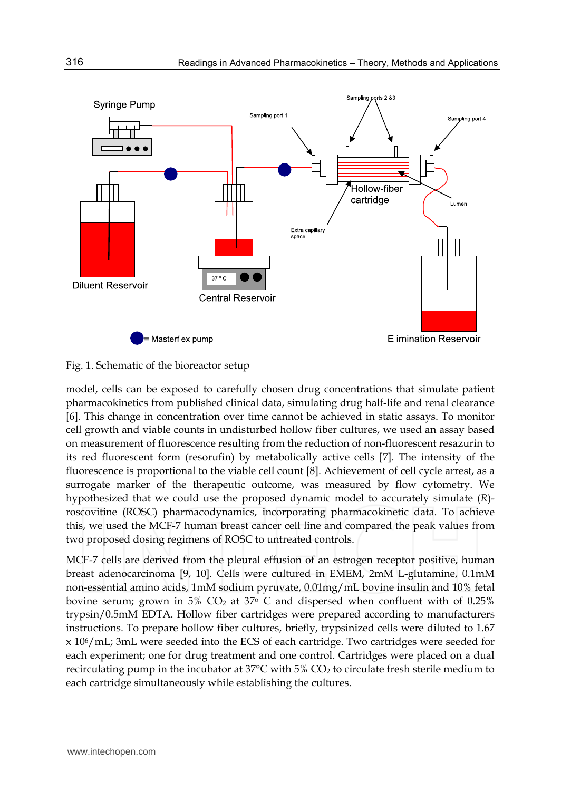

#### Fig. 1. Schematic of the bioreactor setup

model, cells can be exposed to carefully chosen drug concentrations that simulate patient pharmacokinetics from published clinical data, simulating drug half-life and renal clearance [6]. This change in concentration over time cannot be achieved in static assays. To monitor cell growth and viable counts in undisturbed hollow fiber cultures, we used an assay based on measurement of fluorescence resulting from the reduction of non-fluorescent resazurin to its red fluorescent form (resorufin) by metabolically active cells [7]. The intensity of the fluorescence is proportional to the viable cell count [8]. Achievement of cell cycle arrest, as a surrogate marker of the therapeutic outcome, was measured by flow cytometry. We hypothesized that we could use the proposed dynamic model to accurately simulate (*R*) roscovitine (ROSC) pharmacodynamics, incorporating pharmacokinetic data. To achieve this, we used the MCF-7 human breast cancer cell line and compared the peak values from two proposed dosing regimens of ROSC to untreated controls.

MCF-7 cells are derived from the pleural effusion of an estrogen receptor positive, human breast adenocarcinoma [9, 10]. Cells were cultured in EMEM, 2mM L-glutamine, 0.1mM non-essential amino acids, 1mM sodium pyruvate, 0.01mg/mL bovine insulin and 10% fetal bovine serum; grown in 5%  $CO<sub>2</sub>$  at 37 $\degree$  C and dispersed when confluent with of 0.25% trypsin/0.5mM EDTA. Hollow fiber cartridges were prepared according to manufacturers instructions. To prepare hollow fiber cultures, briefly, trypsinized cells were diluted to 1.67 x 106/mL; 3mL were seeded into the ECS of each cartridge. Two cartridges were seeded for each experiment; one for drug treatment and one control. Cartridges were placed on a dual recirculating pump in the incubator at 37 $\degree$ C with 5% CO<sub>2</sub> to circulate fresh sterile medium to each cartridge simultaneously while establishing the cultures.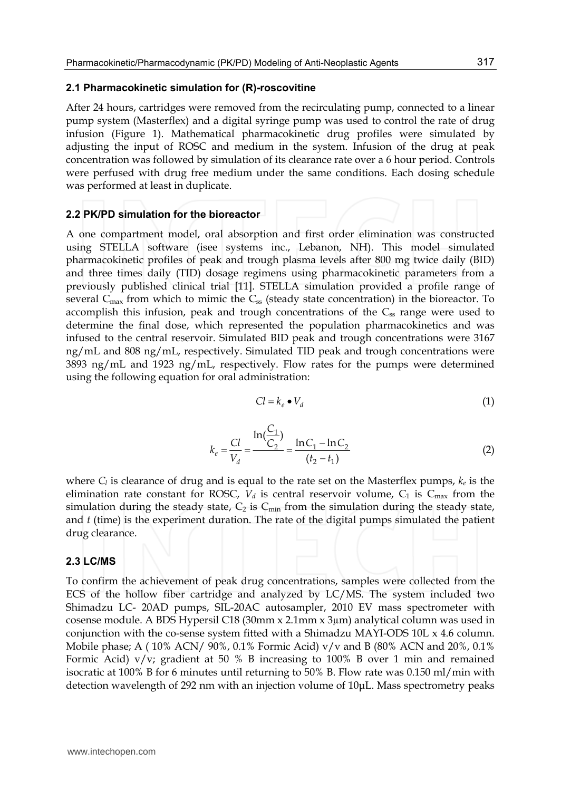#### **2.1 Pharmacokinetic simulation for (R)-roscovitine**

After 24 hours, cartridges were removed from the recirculating pump, connected to a linear pump system (Masterflex) and a digital syringe pump was used to control the rate of drug infusion (Figure 1). Mathematical pharmacokinetic drug profiles were simulated by adjusting the input of ROSC and medium in the system. Infusion of the drug at peak concentration was followed by simulation of its clearance rate over a 6 hour period. Controls were perfused with drug free medium under the same conditions. Each dosing schedule was performed at least in duplicate.

#### **2.2 PK/PD simulation for the bioreactor**

A one compartment model, oral absorption and first order elimination was constructed using STELLA software (isee systems inc., Lebanon, NH). This model simulated pharmacokinetic profiles of peak and trough plasma levels after 800 mg twice daily (BID) and three times daily (TID) dosage regimens using pharmacokinetic parameters from a previously published clinical trial [11]. STELLA simulation provided a profile range of several  $C_{\text{max}}$  from which to mimic the  $C_{\text{ss}}$  (steady state concentration) in the bioreactor. To accomplish this infusion, peak and trough concentrations of the  $C_{ss}$  range were used to determine the final dose, which represented the population pharmacokinetics and was infused to the central reservoir. Simulated BID peak and trough concentrations were 3167 ng/mL and 808 ng/mL, respectively. Simulated TID peak and trough concentrations were 3893 ng/mL and 1923 ng/mL, respectively. Flow rates for the pumps were determined using the following equation for oral administration:

$$
Cl = k_e \bullet V_d \tag{1}
$$

$$
k_e = \frac{Cl}{V_d} = \frac{\ln(\frac{C_1}{C_2})}{\ln(C_2)} = \frac{\ln(C_1 - \ln(C_2)}{(t_2 - t_1)}
$$
(2)

where  $C_l$  is clearance of drug and is equal to the rate set on the Masterflex pumps,  $k_e$  is the elimination rate constant for ROSC,  $V_d$  is central reservoir volume,  $C_1$  is  $C_{\text{max}}$  from the simulation during the steady state,  $C_2$  is  $C_{min}$  from the simulation during the steady state, and *t* (time) is the experiment duration. The rate of the digital pumps simulated the patient drug clearance.

#### **2.3 LC/MS**

To confirm the achievement of peak drug concentrations, samples were collected from the ECS of the hollow fiber cartridge and analyzed by LC/MS. The system included two Shimadzu LC- 20AD pumps, SIL-20AC autosampler, 2010 EV mass spectrometer with cosense module. A BDS Hypersil C18 (30mm x 2.1mm x 3µm) analytical column was used in conjunction with the co-sense system fitted with a Shimadzu MAYI-ODS 10L x 4.6 column. Mobile phase; A ( $10\%$  ACN/  $90\%$ ,  $0.1\%$  Formic Acid) v/v and B (80% ACN and  $20\%$ ,  $0.1\%$ Formic Acid) v/v; gradient at 50 % B increasing to 100% B over 1 min and remained isocratic at 100% B for 6 minutes until returning to 50% B. Flow rate was 0.150 ml/min with detection wavelength of 292 nm with an injection volume of 10μL. Mass spectrometry peaks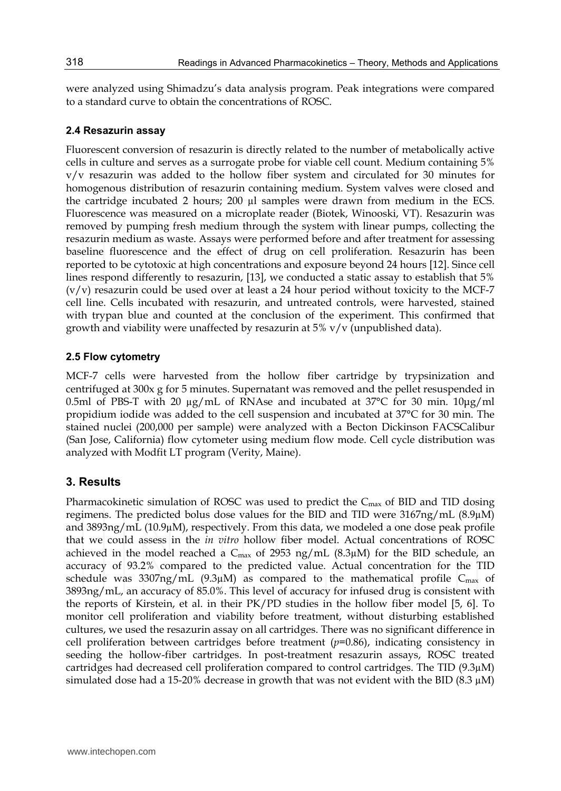were analyzed using Shimadzu's data analysis program. Peak integrations were compared to a standard curve to obtain the concentrations of ROSC.

#### **2.4 Resazurin assay**

Fluorescent conversion of resazurin is directly related to the number of metabolically active cells in culture and serves as a surrogate probe for viable cell count. Medium containing 5% v/v resazurin was added to the hollow fiber system and circulated for 30 minutes for homogenous distribution of resazurin containing medium. System valves were closed and the cartridge incubated 2 hours; 200 µl samples were drawn from medium in the ECS. Fluorescence was measured on a microplate reader (Biotek, Winooski, VT). Resazurin was removed by pumping fresh medium through the system with linear pumps, collecting the resazurin medium as waste. Assays were performed before and after treatment for assessing baseline fluorescence and the effect of drug on cell proliferation. Resazurin has been reported to be cytotoxic at high concentrations and exposure beyond 24 hours [12]. Since cell lines respond differently to resazurin, [13], we conducted a static assay to establish that 5%  $(v/v)$  resazurin could be used over at least a 24 hour period without toxicity to the MCF-7 cell line. Cells incubated with resazurin, and untreated controls, were harvested, stained with trypan blue and counted at the conclusion of the experiment. This confirmed that growth and viability were unaffected by resazurin at 5% v/v (unpublished data).

#### **2.5 Flow cytometry**

MCF-7 cells were harvested from the hollow fiber cartridge by trypsinization and centrifuged at 300x g for 5 minutes. Supernatant was removed and the pellet resuspended in 0.5ml of PBS-T with 20 µg/mL of RNAse and incubated at 37°C for 30 min. 10μg/ml propidium iodide was added to the cell suspension and incubated at 37°C for 30 min. The stained nuclei (200,000 per sample) were analyzed with a Becton Dickinson FACSCalibur (San Jose, California) flow cytometer using medium flow mode. Cell cycle distribution was analyzed with Modfit LT program (Verity, Maine).

### **3. Results**

Pharmacokinetic simulation of ROSC was used to predict the  $C_{\text{max}}$  of BID and TID dosing regimens. The predicted bolus dose values for the BID and TID were  $3167ng/mL$  (8.9 $\mu$ M) and 3893ng/mL (10.9µM), respectively. From this data, we modeled a one dose peak profile that we could assess in the *in vitro* hollow fiber model. Actual concentrations of ROSC achieved in the model reached a  $C_{\text{max}}$  of 2953 ng/mL (8.3 $\mu$ M) for the BID schedule, an accuracy of 93.2% compared to the predicted value. Actual concentration for the TID schedule was  $3307 \text{ng/mL}$  (9.3µM) as compared to the mathematical profile C<sub>max</sub> of 3893ng/mL, an accuracy of 85.0%. This level of accuracy for infused drug is consistent with the reports of Kirstein, et al. in their PK/PD studies in the hollow fiber model [5, 6]. To monitor cell proliferation and viability before treatment, without disturbing established cultures, we used the resazurin assay on all cartridges. There was no significant difference in cell proliferation between cartridges before treatment (*p*=0.86), indicating consistency in seeding the hollow-fiber cartridges. In post-treatment resazurin assays, ROSC treated cartridges had decreased cell proliferation compared to control cartridges. The TID  $(9.3\mu)$ simulated dose had a 15-20% decrease in growth that was not evident with the BID (8.3  $\mu$ M)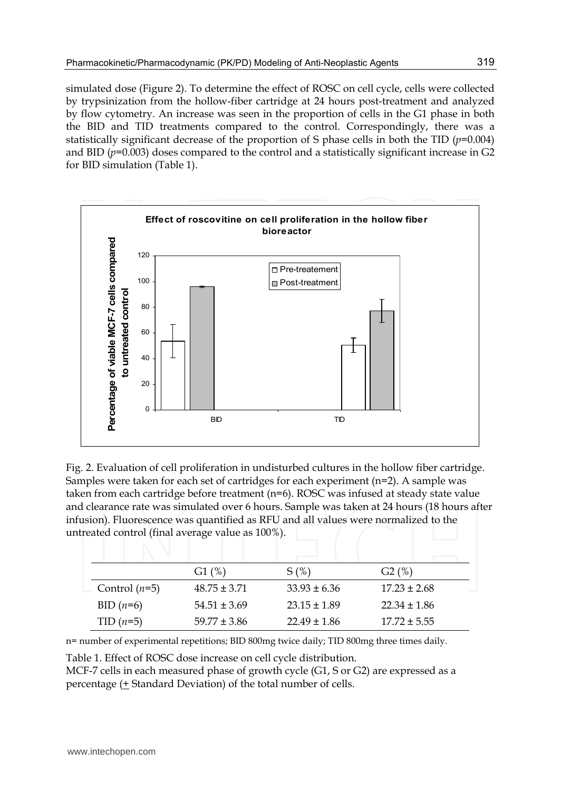simulated dose (Figure 2). To determine the effect of ROSC on cell cycle, cells were collected by trypsinization from the hollow-fiber cartridge at 24 hours post-treatment and analyzed by flow cytometry. An increase was seen in the proportion of cells in the G1 phase in both the BID and TID treatments compared to the control. Correspondingly, there was a statistically significant decrease of the proportion of S phase cells in both the TID  $(p=0.004)$ and BID (*p*=0.003) doses compared to the control and a statistically significant increase in G2 for BID simulation (Table 1).



Fig. 2. Evaluation of cell proliferation in undisturbed cultures in the hollow fiber cartridge. Samples were taken for each set of cartridges for each experiment (n=2). A sample was taken from each cartridge before treatment (n=6). ROSC was infused at steady state value and clearance rate was simulated over 6 hours. Sample was taken at 24 hours (18 hours after infusion). Fluorescence was quantified as RFU and all values were normalized to the untreated control (final average value as 100%).

|                 | G1(%)            | S(%)             | G2(%)            |
|-----------------|------------------|------------------|------------------|
| Control $(n=5)$ | $48.75 \pm 3.71$ | $33.93 \pm 6.36$ | $17.23 \pm 2.68$ |
| BID $(n=6)$     | $54.51 \pm 3.69$ | $23.15 \pm 1.89$ | $22.34 \pm 1.86$ |
| $TID(n=5)$      | $59.77 \pm 3.86$ | $22.49 \pm 1.86$ | $17.72 \pm 5.55$ |

n= number of experimental repetitions; BID 800mg twice daily; TID 800mg three times daily.

Table 1. Effect of ROSC dose increase on cell cycle distribution.

MCF-7 cells in each measured phase of growth cycle (G1, S or G2) are expressed as a percentage (+ Standard Deviation) of the total number of cells.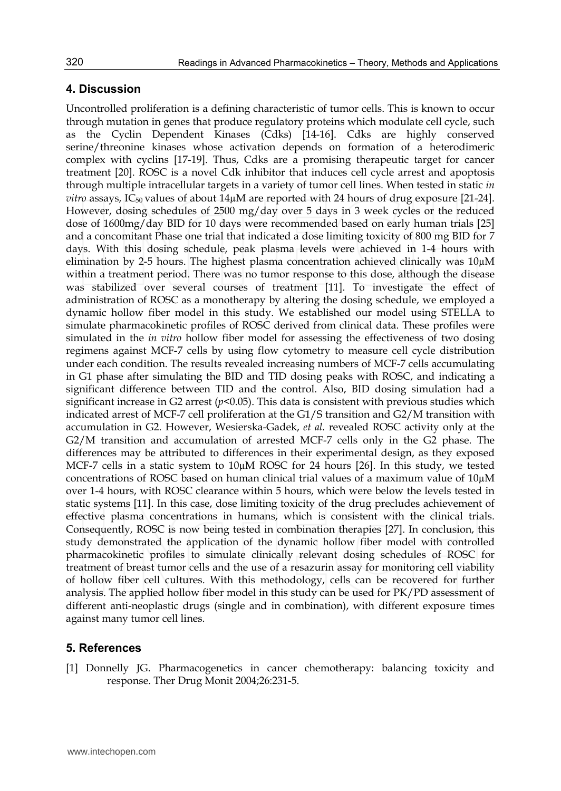### **4. Discussion**

Uncontrolled proliferation is a defining characteristic of tumor cells. This is known to occur through mutation in genes that produce regulatory proteins which modulate cell cycle, such as the Cyclin Dependent Kinases (Cdks) [14-16]. Cdks are highly conserved serine/threonine kinases whose activation depends on formation of a heterodimeric complex with cyclins [17-19]. Thus, Cdks are a promising therapeutic target for cancer treatment [20]. ROSC is a novel Cdk inhibitor that induces cell cycle arrest and apoptosis through multiple intracellular targets in a variety of tumor cell lines. When tested in static *in*   $vitro$  assays, I $C_{50}$  values of about  $14\mu$ M are reported with 24 hours of drug exposure [21-24]. However, dosing schedules of 2500 mg/day over 5 days in 3 week cycles or the reduced dose of 1600mg/day BID for 10 days were recommended based on early human trials [25] and a concomitant Phase one trial that indicated a dose limiting toxicity of 800 mg BID for 7 days. With this dosing schedule, peak plasma levels were achieved in 1-4 hours with elimination by 2-5 hours. The highest plasma concentration achieved clinically was 10µM within a treatment period. There was no tumor response to this dose, although the disease was stabilized over several courses of treatment [11]. To investigate the effect of administration of ROSC as a monotherapy by altering the dosing schedule, we employed a dynamic hollow fiber model in this study. We established our model using STELLA to simulate pharmacokinetic profiles of ROSC derived from clinical data. These profiles were simulated in the *in vitro* hollow fiber model for assessing the effectiveness of two dosing regimens against MCF-7 cells by using flow cytometry to measure cell cycle distribution under each condition. The results revealed increasing numbers of MCF-7 cells accumulating in G1 phase after simulating the BID and TID dosing peaks with ROSC, and indicating a significant difference between TID and the control. Also, BID dosing simulation had a significant increase in G2 arrest  $(p< 0.05)$ . This data is consistent with previous studies which indicated arrest of MCF-7 cell proliferation at the G1/S transition and G2/M transition with accumulation in G2. However, Wesierska-Gadek, *et al.* revealed ROSC activity only at the G2/M transition and accumulation of arrested MCF-7 cells only in the G2 phase. The differences may be attributed to differences in their experimental design, as they exposed MCF-7 cells in a static system to 10µM ROSC for 24 hours [26]. In this study, we tested concentrations of ROSC based on human clinical trial values of a maximum value of 10µM over 1-4 hours, with ROSC clearance within 5 hours, which were below the levels tested in static systems [11]. In this case, dose limiting toxicity of the drug precludes achievement of effective plasma concentrations in humans, which is consistent with the clinical trials. Consequently, ROSC is now being tested in combination therapies [27]. In conclusion, this study demonstrated the application of the dynamic hollow fiber model with controlled pharmacokinetic profiles to simulate clinically relevant dosing schedules of ROSC for treatment of breast tumor cells and the use of a resazurin assay for monitoring cell viability of hollow fiber cell cultures. With this methodology, cells can be recovered for further analysis. The applied hollow fiber model in this study can be used for PK/PD assessment of different anti-neoplastic drugs (single and in combination), with different exposure times against many tumor cell lines.

### **5. References**

[1] Donnelly JG. Pharmacogenetics in cancer chemotherapy: balancing toxicity and response. Ther Drug Monit 2004;26:231-5.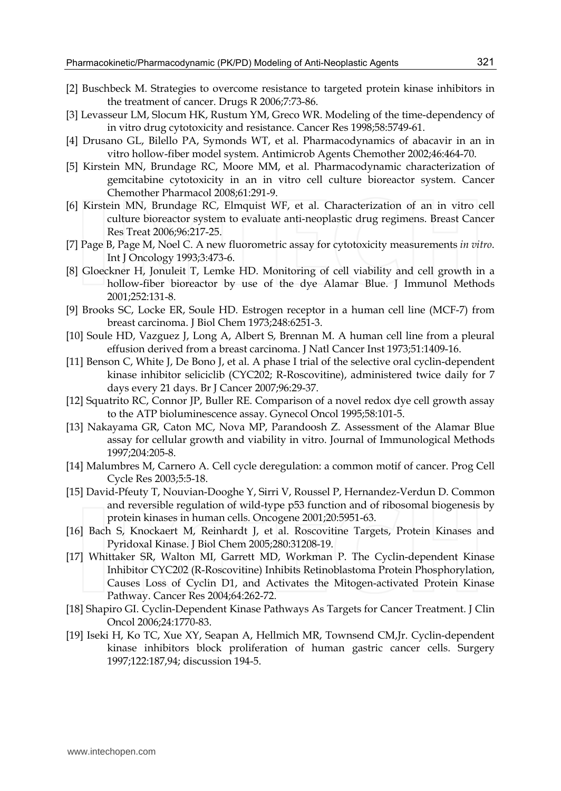- [2] Buschbeck M. Strategies to overcome resistance to targeted protein kinase inhibitors in the treatment of cancer. Drugs R 2006;7:73-86.
- [3] Levasseur LM, Slocum HK, Rustum YM, Greco WR. Modeling of the time-dependency of in vitro drug cytotoxicity and resistance. Cancer Res 1998;58:5749-61.
- [4] Drusano GL, Bilello PA, Symonds WT, et al. Pharmacodynamics of abacavir in an in vitro hollow-fiber model system. Antimicrob Agents Chemother 2002;46:464-70.
- [5] Kirstein MN, Brundage RC, Moore MM, et al. Pharmacodynamic characterization of gemcitabine cytotoxicity in an in vitro cell culture bioreactor system. Cancer Chemother Pharmacol 2008;61:291-9.
- [6] Kirstein MN, Brundage RC, Elmquist WF, et al. Characterization of an in vitro cell culture bioreactor system to evaluate anti-neoplastic drug regimens. Breast Cancer Res Treat 2006;96:217-25.
- [7] Page B, Page M, Noel C. A new fluorometric assay for cytotoxicity measurements *in vitro*. Int J Oncology 1993;3:473-6.
- [8] Gloeckner H, Jonuleit T, Lemke HD. Monitoring of cell viability and cell growth in a hollow-fiber bioreactor by use of the dye Alamar Blue. J Immunol Methods 2001;252:131-8.
- [9] Brooks SC, Locke ER, Soule HD. Estrogen receptor in a human cell line (MCF-7) from breast carcinoma. J Biol Chem 1973;248:6251-3.
- [10] Soule HD, Vazguez J, Long A, Albert S, Brennan M. A human cell line from a pleural effusion derived from a breast carcinoma. J Natl Cancer Inst 1973;51:1409-16.
- [11] Benson C, White J, De Bono J, et al. A phase I trial of the selective oral cyclin-dependent kinase inhibitor seliciclib (CYC202; R-Roscovitine), administered twice daily for 7 days every 21 days. Br J Cancer 2007;96:29-37.
- [12] Squatrito RC, Connor JP, Buller RE. Comparison of a novel redox dye cell growth assay to the ATP bioluminescence assay. Gynecol Oncol 1995;58:101-5.
- [13] Nakayama GR, Caton MC, Nova MP, Parandoosh Z. Assessment of the Alamar Blue assay for cellular growth and viability in vitro. Journal of Immunological Methods 1997;204:205-8.
- [14] Malumbres M, Carnero A. Cell cycle deregulation: a common motif of cancer. Prog Cell Cycle Res 2003;5:5-18.
- [15] David-Pfeuty T, Nouvian-Dooghe Y, Sirri V, Roussel P, Hernandez-Verdun D. Common and reversible regulation of wild-type p53 function and of ribosomal biogenesis by protein kinases in human cells. Oncogene 2001;20:5951-63.
- [16] Bach S, Knockaert M, Reinhardt J, et al. Roscovitine Targets, Protein Kinases and Pyridoxal Kinase. J Biol Chem 2005;280:31208-19.
- [17] Whittaker SR, Walton MI, Garrett MD, Workman P. The Cyclin-dependent Kinase Inhibitor CYC202 (R-Roscovitine) Inhibits Retinoblastoma Protein Phosphorylation, Causes Loss of Cyclin D1, and Activates the Mitogen-activated Protein Kinase Pathway. Cancer Res 2004;64:262-72.
- [18] Shapiro GI. Cyclin-Dependent Kinase Pathways As Targets for Cancer Treatment. J Clin Oncol 2006;24:1770-83.
- [19] Iseki H, Ko TC, Xue XY, Seapan A, Hellmich MR, Townsend CM,Jr. Cyclin-dependent kinase inhibitors block proliferation of human gastric cancer cells. Surgery 1997;122:187,94; discussion 194-5.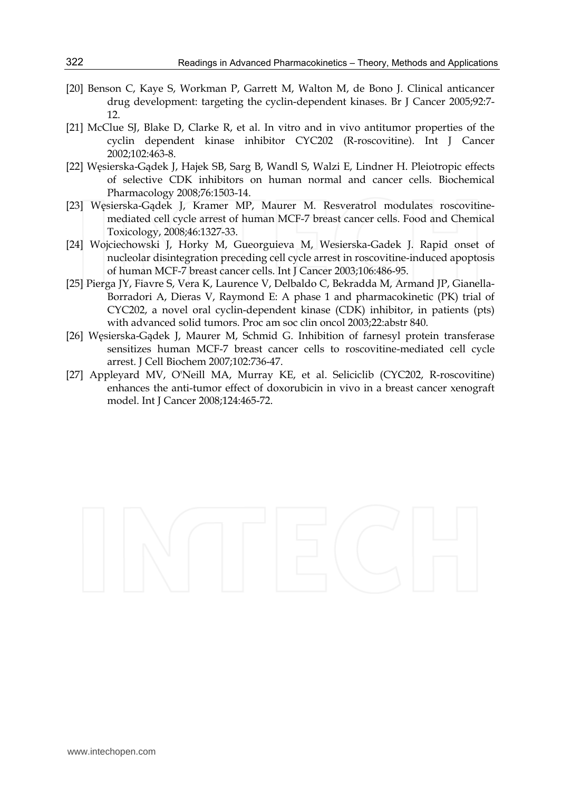- [20] Benson C, Kaye S, Workman P, Garrett M, Walton M, de Bono J. Clinical anticancer drug development: targeting the cyclin-dependent kinases. Br J Cancer 2005;92:7- 12.
- [21] McClue SJ, Blake D, Clarke R, et al. In vitro and in vivo antitumor properties of the cyclin dependent kinase inhibitor CYC202 (R-roscovitine). Int J Cancer 2002;102:463-8.
- [22] Węsierska-Gądek J, Hajek SB, Sarg B, Wandl S, Walzi E, Lindner H. Pleiotropic effects of selective CDK inhibitors on human normal and cancer cells. Biochemical Pharmacology 2008;76:1503-14.
- [23] Węsierska-Gądek J, Kramer MP, Maurer M. Resveratrol modulates roscovitinemediated cell cycle arrest of human MCF-7 breast cancer cells. Food and Chemical Toxicology, 2008;46:1327-33.
- [24] Wojciechowski J, Horky M, Gueorguieva M, Wesierska-Gadek J. Rapid onset of nucleolar disintegration preceding cell cycle arrest in roscovitine-induced apoptosis of human MCF-7 breast cancer cells. Int J Cancer 2003;106:486-95.
- [25] Pierga JY, Fiavre S, Vera K, Laurence V, Delbaldo C, Bekradda M, Armand JP, Gianella-Borradori A, Dieras V, Raymond E: A phase 1 and pharmacokinetic (PK) trial of CYC202, a novel oral cyclin-dependent kinase (CDK) inhibitor, in patients (pts) with advanced solid tumors. Proc am soc clin oncol 2003;22:abstr 840.
- [26] Węsierska-Gądek J, Maurer M, Schmid G. Inhibition of farnesyl protein transferase sensitizes human MCF-7 breast cancer cells to roscovitine-mediated cell cycle arrest. J Cell Biochem 2007;102:736-47.
- [27] Appleyard MV, O'Neill MA, Murray KE, et al. Seliciclib (CYC202, R-roscovitine) enhances the anti-tumor effect of doxorubicin in vivo in a breast cancer xenograft model. Int J Cancer 2008;124:465-72.